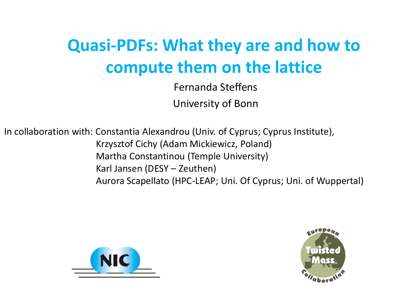# **Quasi-PDFs: What they are and how to compute them on the lattice**

Fernanda Steffens University of Bonn

In collaboration with: Constantia Alexandrou (Univ. of Cyprus; Cyprus Institute), Krzysztof Cichy (Adam Mickiewicz, Poland) Martha Constantinou (Temple University) Karl Jansen (DESY – Zeuthen) Aurora Scapellato (HPC-LEAP; Uni. Of Cyprus; Uni. of Wuppertal)



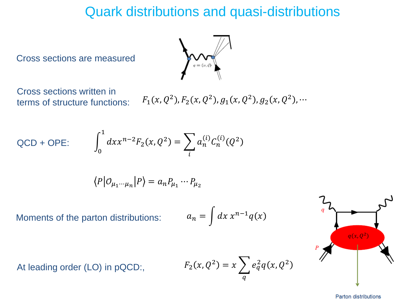# Quark distributions and quasi-distributions

Cross sections are measured



Cross sections written in terms of structure functions:

 $^2$ ),  $F_2(x, Q^2)$ ,  $g_1(x, Q^2)$ ,  $g_2(x, Q^2)$ , ...

QCD + OPE:

$$
d x x^{n-2} F_2(x, Q^2) = \sum_i a_n^{(i)} C_n^{(i)}(Q^2)
$$

$$
\langle P|O_{\mu_1\cdots\mu_n}|P\rangle = a_n P_{\mu_1}\cdots P_{\mu_2}
$$

Moments of the parton distributions:

At leading order (LO) in pQCD:,

 $\overline{1}$ 0

$$
a_n = \int dx \, x^{n-1} q(x)
$$

$$
F_2(x,Q^2) = x \sum_q e_q^2 q(x,Q^2)
$$



**Parton distributions**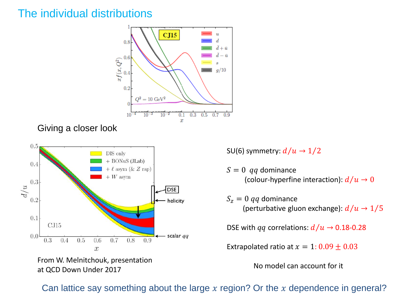### The individual distributions



From W. Melnitchouk, presentation at QCD Down Under 2017

SU(6) symmetry:  $d/u \rightarrow 1/2$ 

 $S = 0$  *qq* dominance (colour-hyperfine interaction):  $d/u \rightarrow 0$ 

 $S_z = 0$  *qq* dominance (perturbative gluon exchange):  $d/u \rightarrow 1/5$ 

DSE with  $qq$  correlations:  $d/u \rightarrow 0.18$ -0.28

Extrapolated ratio at  $x = 1: 0.09 \pm 0.03$ 

No model can account for it

Can lattice say something about the large  $x$  region? Or the  $x$  dependence in general?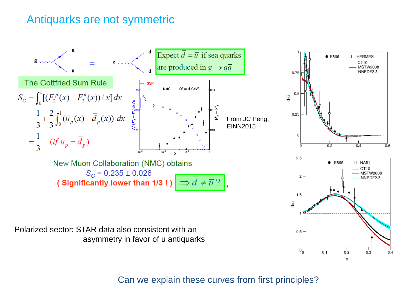### Antiquarks are not symmetric



Can we explain these curves from first principles?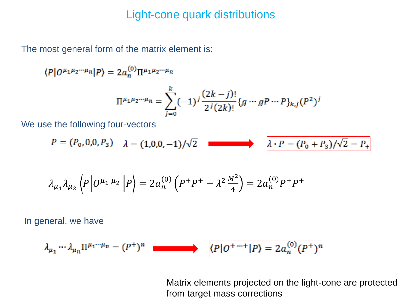### Light-cone quark distributions

The most general form of the matrix element is:

 $\langle P|O^{\mu_1\mu_2\cdots\mu_n}|P\rangle = 2a_n^{(0)}\Pi^{\mu_1\mu_2\cdots\mu_n}$ 

$$
\Pi^{\mu_1\mu_2\cdots\mu_n} = \sum_{j=0}^k (-1)^j \frac{(2k-j)!}{2^j (2k)!} \{g \cdots gP \cdots P\}_{k,j} (P^2)^j
$$

We use the following four-vectors

$$
P = (P_0, 0, 0, P_3) \quad \lambda = (1, 0, 0, -1)/\sqrt{2} \quad \blacksquare
$$
\n
$$
\lambda \cdot P = (P_0 + P_3)/\sqrt{2} = P_+
$$

$$
\lambda_{\mu_1} \lambda_{\mu_2} \left\langle P \middle| O^{\mu_1 \mu_2} \middle| P \right\rangle = 2 a_n^{(0)} \left( P^+ P^+ - \lambda^2 \frac{M^2}{4} \right) = 2 a_n^{(0)} P^+ P^+
$$

In general, we have

$$
\lambda_{\mu_1} \cdots \lambda_{\mu_n} \Pi^{\mu_1 \cdots \mu_n} = (P^+)^n \quad \blacksquare
$$
 (P|O<sup>+\cdots+</sup>|P<sup>}) = 2a\_n^{(0)}(P^+)^n</sup>

Matrix elements projected on the light-cone are protected from target mass corrections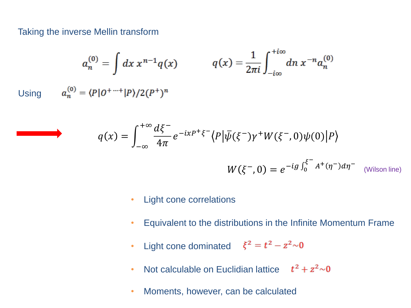#### Taking the inverse Mellin transform

$$
a_n^{(0)} = \int dx \, x^{n-1} q(x) \qquad q(x) = \frac{1}{2\pi i} \int_{-i\infty}^{+i\infty} dn \, x^{-n} a_n^{(0)}
$$
  
Using 
$$
a_n^{(0)} = \frac{P|0^{+} \cdots + |P|}{2(P+1)^n}
$$

$$
q(x) = \int_{-\infty}^{+\infty} \frac{d\xi^{-}}{4\pi} e^{-ixP^{+}\xi^{-}} \langle P | \bar{\psi}(\xi^{-}) \gamma^{+} W(\xi^{-}, 0) \psi(0) | P \rangle
$$
  

$$
W(\xi^{-}, 0) = e^{-ig \int_{0}^{\xi^{-}} A^{+}(\eta^{-}) d\eta^{-}} \text{ (Wilson line)}
$$

- Light cone correlations
- Equivalent to the distributions in the Infinite Momentum Frame
- Light cone dominated  $\xi^2 = t^2 z^2 \sim 0$
- Not calculable on Euclidian lattice  $t^2 + z^2 \sim 0$
- Moments, however, can be calculated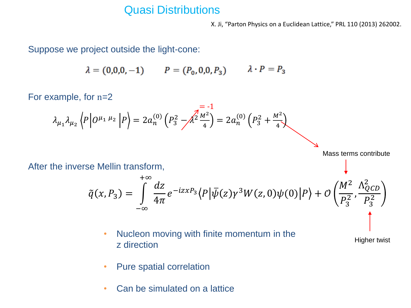### Quasi Distributions

X. Ji, "Parton Physics on a Euclidean Lattice," PRL 110 (2013) 262002.

Suppose we project outside the light-cone:

$$
\lambda = (0,0,0,-1)
$$
  $P = (P_0, 0,0,P_3)$   $\lambda \cdot P = P_3$ 

For example, for n=2

$$
\lambda_{\mu_1} \lambda_{\mu_2} \left\langle P \middle| O^{\mu_1 \mu_2} \middle| P \right\rangle = 2 a_n^{(0)} \left( P_3^2 - \sqrt{\frac{2 \mu^2}{4}} \right) = 2 a_n^{(0)} \left( P_3^2 + \frac{M^2}{4} \right)
$$

 $- 1$ 

Mass terms contribute

After the inverse Mellin transform,

$$
\tilde{q}(x,P_3) = \int_{-\infty}^{+\infty} \frac{dz}{4\pi} e^{-izxP_3} \langle P|\bar{\psi}(z)\gamma^3 W(z,0)\psi(0)|P\rangle + \mathcal{O}\left(\frac{M^2}{P_3^2}, \frac{\Lambda_{QCD}^2}{P_3^2}\right)
$$

• Nucleon moving with finite momentum in the z direction

Higher twist

- Pure spatial correlation
- Can be simulated on a lattice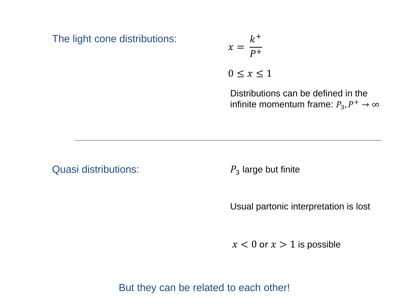The light cone distributions:

$$
x = \frac{k^+}{P^+}
$$
  

$$
0 \le x \le 1
$$

Distributions can be defined in the infinite momentum frame:  $P_3, P^+ \rightarrow \infty$ 

Quasi distributions:

 $P_3$  large but finite

Usual partonic interpretation is lost

 $x < 0$  or  $x > 1$  is possible

But they can be related to each other!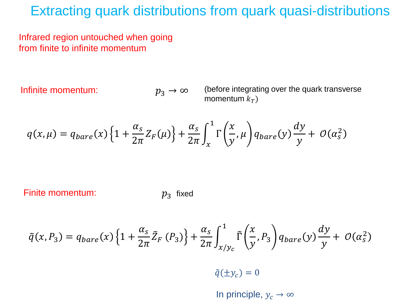## Extracting quark distributions from quark quasi-distributions

Infrared region untouched when going from finite to infinite momentum

Infinite momentum:

 $p_3 \rightarrow \infty$ 

(before integrating over the quark transverse momentum  $k_T$ )

$$
q(x,\mu) = q_{bare}(x)\left\{1 + \frac{\alpha_s}{2\pi}Z_F(\mu)\right\} + \frac{\alpha_s}{2\pi}\int_x^1 \Gamma\left(\frac{x}{y},\mu\right)q_{bare}(y)\frac{dy}{y} + \mathcal{O}(\alpha_s^2)
$$

Finite momentum:

 $p_3$  fixed

$$
\tilde{q}(x,P_3) = q_{bare}(x)\left\{1+\frac{\alpha_s}{2\pi}\tilde{Z}_F\left(P_3\right)\right\} + \frac{\alpha_s}{2\pi}\int_{x/y_c}^1 \tilde{\Gamma}\left(\frac{x}{y},P_3\right) q_{bare}(y)\frac{dy}{y} + \mathcal{O}(\alpha_s^2)
$$

 $\tilde{q}(\pm y_c) = 0$ 

In principle,  $y_c \rightarrow \infty$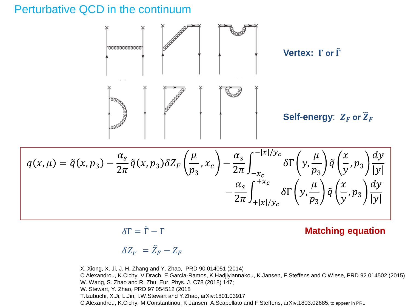### Perturbative QCD in the continuum



$$
q(x,\mu) = \tilde{q}(x,p_3) - \frac{\alpha_s}{2\pi} \tilde{q}(x,p_3) \delta Z_F\left(\frac{\mu}{p_3},x_c\right) - \frac{\alpha_s}{2\pi} \int_{-x_c}^{-|x|/y_c} \delta \Gamma\left(y,\frac{\mu}{p_3}\right) \tilde{q}\left(\frac{x}{y},p_3\right) \frac{dy}{|y|} - \frac{\alpha_s}{2\pi} \int_{+|x|/y_c}^{+x_c} \delta \Gamma\left(y,\frac{\mu}{p_3}\right) \tilde{q}\left(\frac{x}{y},p_3\right) \frac{dy}{|y|}
$$

 $\delta\Gamma = \tilde{\Gamma} - \Gamma$ 

#### **Matching equation**

$$
\delta Z_F = \tilde{Z}_F - Z_F
$$

X. Xiong, X. Ji, J. H. Zhang and Y. Zhao, PRD 90 014051 (2014) C.Alexandrou, K.Cichy, V.Drach, E.Garcia-Ramos, K.Hadjiyiannakou, K.Jansen, F.Steffens and C.Wiese, PRD 92 014502 (2015) W. Wang, S. Zhao and R. Zhu, Eur. Phys. J. C78 (2018) 147; W. Stewart, Y. Zhao, PRD 97 054512 (2018 T.Izubuchi, X.Ji, L.Jin, I.W.Stewart and Y.Zhao, arXiv:1801.03917 C.Alexandrou, K.Cichy, M.Constantinou, K.Jansen, A.Scapellato and F.Steffens, arXiv:1803.02685, to appear in PRL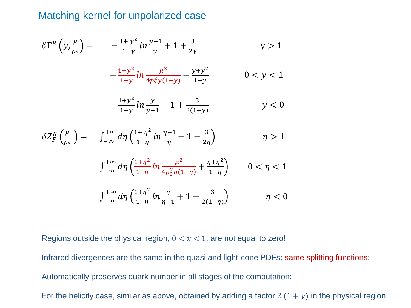### Matching kernel for unpolarized case

$$
\delta \Gamma^R \left( y, \frac{\mu}{p_3} \right) = -\frac{1+y^2}{1-y} \ln \frac{y-1}{y} + 1 + \frac{3}{2y} \qquad y > 1
$$

$$
-\frac{1+y^2}{1-y}\ln\frac{\mu^2}{4p_3^2y(1-y)} - \frac{y+y^2}{1-y}
$$
 0 < y < 1

$$
-\frac{1+y^2}{1-y}\ln\frac{y}{y-1}-1+\frac{3}{2(1-y)} \hspace{1.5cm} y<0
$$

$$
\delta Z_F^R\left(\frac{\mu}{p_3}\right) = \int_{-\infty}^{+\infty} d\eta \left(\frac{1+\eta^2}{1-\eta} \ln \frac{\eta-1}{\eta} - 1 - \frac{3}{2\eta}\right) \qquad \eta > 1
$$

$$
\int_{-\infty}^{+\infty} d\eta \left( \frac{1+\eta^2}{1-\eta} \ln \frac{\mu^2}{4p_3^2 \eta (1-\eta)} + \frac{\eta + \eta^2}{1-\eta} \right) \qquad 0 < \eta < 1
$$

$$
\int_{-\infty}^{+\infty} d\eta \left( \frac{1+\eta^2}{1-\eta} \ln \frac{\eta}{\eta-1} + 1 - \frac{3}{2(1-\eta)} \right) \eta < 0
$$

Regions outside the physical region,  $0 < x < 1$ , are not equal to zero!

Infrared divergences are the same in the quasi and light-cone PDFs: same splitting functions; Automatically preserves quark number in all stages of the computation;

For the helicity case, similar as above, obtained by adding a factor 2  $(1 + y)$  in the physical region.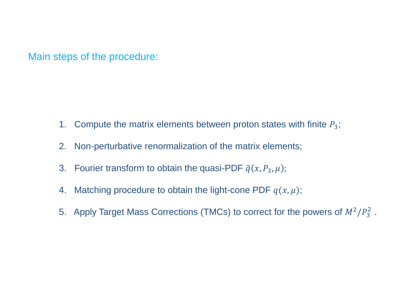Main steps of the procedure:

- 1. Compute the matrix elements between proton states with finite  $P_3$ ;
- 2. Non-perturbative renormalization of the matrix elements;
- 3. Fourier transform to obtain the quasi-PDF  $\tilde{q}(x, P_3, \mu)$ ;
- 4. Matching procedure to obtain the light-cone PDF  $q(x, \mu)$ ;
- 5. Apply Target Mass Corrections (TMCs) to correct for the powers of  $M^2/P_3^2$ .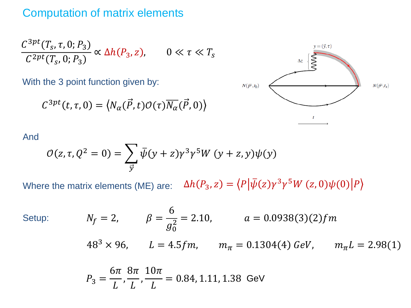### Computation of matrix elements

$$
\frac{C^{3pt}(T_s, \tau, 0; P_3)}{C^{2pt}(T_s, 0; P_3)} \propto \Delta h(P_3, z), \qquad 0 \ll \tau \ll T_s
$$

With the 3 point function given by:

$$
C^{3pt}(t,\tau,0)=\big\langle N_\alpha(\vec{P},t)\mathcal{O}(\tau)\overline{N_\alpha}(\vec{P},0)\big\rangle
$$



#### And

$$
\mathcal{O}(z,\tau,Q^2=0)=\sum_{\overrightarrow{y}}\overline{\psi}(y+z)\gamma^3\gamma^5W(y+z,y)\psi(y)
$$

 $\Delta h(P_3, z) = \langle P | \bar{\psi}(z) \gamma^3 \gamma^5 W(z, 0) \psi(0) | P$ Where the matrix elements (ME) are:

Setup:

$$
N_f = 2,
$$
  $\beta = \frac{6}{g_0^2} = 2.10,$   $a = 0.0938(3)(2)fm$   
\n $48^3 \times 96,$   $L = 4.5fm,$   $m_\pi = 0.1304(4) \text{ GeV},$   $m_\pi L = 2.98(1)$ 

$$
P_3 = \frac{6\pi}{L}, \frac{8\pi}{L}, \frac{10\pi}{L} = 0.84, 1.11, 1.38 \text{ GeV}
$$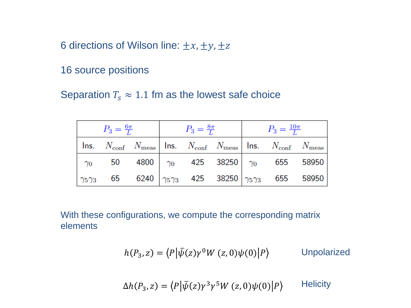6 directions of Wilson line:  $\pm x$ ,  $\pm y$ ,  $\pm z$ 

16 source positions

Separation  $T_s \approx 1.1$  fm as the lowest safe choice

| $P_3 = \frac{6\pi}{L}$ |  |  | $P_3=\frac{8\pi}{L}$ |  |  | $P_3 = \frac{10\pi}{L}$ |                                                                                                                                  |  |
|------------------------|--|--|----------------------|--|--|-------------------------|----------------------------------------------------------------------------------------------------------------------------------|--|
|                        |  |  |                      |  |  |                         | Ins. $N_{\text{conf}}$ $N_{\text{meas}}$   Ins. $N_{\text{conf}}$ $N_{\text{meas}}$   Ins. $N_{\text{conf}}$ $N_{\text{meas}}$   |  |
|                        |  |  |                      |  |  |                         | $\begin{array}{ c c c c c c }\hline \gamma_0 & 50 & 4800 & \gamma_0 & 425 & 38250 & \gamma_0 & 655 & 58950 \ \hline \end{array}$ |  |
|                        |  |  |                      |  |  |                         |                                                                                                                                  |  |

With these configurations, we compute the corresponding matrix elements

$$
h(P_3, z) = \langle P | \bar{\psi}(z) \gamma^0 W(z, 0) \psi(0) | P \rangle
$$
 Unpolarized

 $\Delta h(P_3, z) = \langle P | \bar{\psi}(z) \gamma^3 \gamma^5 W(z, 0) \psi(0) | P$ **Helicity**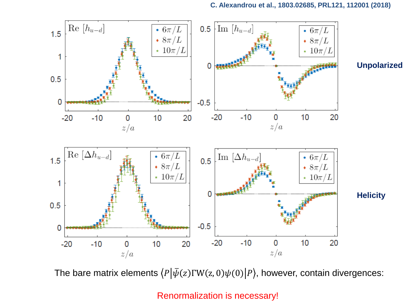

The bare matrix elements  $\langle P|\bar{\psi}(z)\Gamma W(z,0)\psi(0)|P\rangle$ , however, contain divergences:

Renormalization is necessary!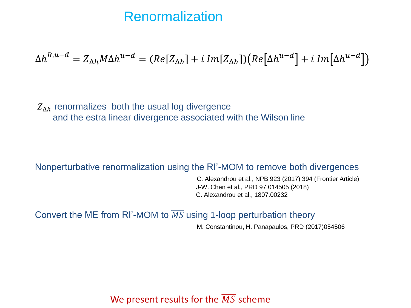### Renormalization

$$
\Delta h^{R,u-d} = Z_{\Delta h} M \Delta h^{u-d} = (Re[Z_{\Delta h}] + i Im[Z_{\Delta h}])(Re[\Delta h^{u-d}] + i Im[\Delta h^{u-d}])
$$

 $Z_{\Delta h}$  renormalizes both the usual log divergence and the estra linear divergence associated with the Wilson line

#### Nonperturbative renormalization using the RI'-MOM to remove both divergences

C. Alexandrou et al., NPB 923 (2017) 394 (Frontier Article) J-W. Chen et al., PRD 97 014505 (2018) C. Alexandrou et al., 1807.00232

Convert the ME from RI'-MOM to  $\overline{MS}$  using 1-loop perturbation theory

M. Constantinou, H. Panapaulos, PRD (2017)054506

### We present results for the  $\overline{MS}$  scheme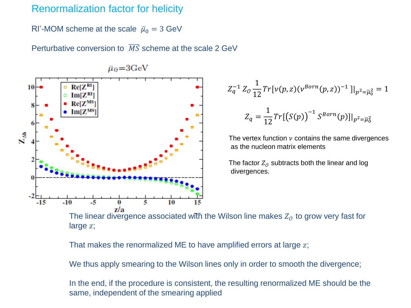### Renormalization factor for helicity

RI'-MOM scheme at the scale  $\bar{\mu}_0 = 3$  GeV

Perturbative conversion to  $\overline{MS}$  scheme at the scale 2 GeV



$$
\bar{\mu}_0{=}3{\rm GeV}
$$

$$
Z_q^{-1} Z_0 \frac{1}{12} Tr[v(p, z)(v^{Born}(p, z))^{-1}]|_{p^2 = \overline{\mu}_0^2} = 1
$$
  

$$
Z_q = \frac{1}{12} Tr[(S(p))^{-1} S^{Born}(p)]|_{p^2 = \overline{\mu}_0^2}
$$

The vertex function  $\nu$  contains the same divergences as the nucleon matrix elements

The factor  $Z_{\mathcal{O}}$  subtracts both the linear and log divergences.

The linear divergence associated with the Wilson line makes  $Z_{\mathcal{O}}$  to grow very fast for large z;

That makes the renormalized ME to have amplified errors at large  $z$ ;

We thus apply smearing to the Wilson lines only in order to smooth the divergence;

In the end, if the procedure is consistent, the resulting renormalized ME should be the same, independent of the smearing applied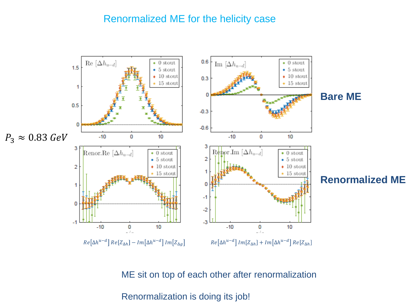### Renormalized ME for the helicity case



ME sit on top of each other after renormalization

Renormalization is doing its job!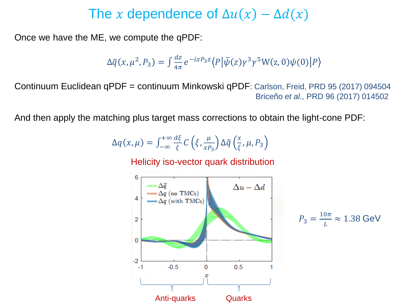# The x dependence of  $\Delta u(x) - \Delta d(x)$

Once we have the ME, we compute the qPDF:

$$
\Delta \tilde{q}(x,\mu^2,P_3) = \int \frac{dz}{4\pi} e^{-ixP_3 z} \langle P | \bar{\psi}(z) \gamma^3 \gamma^5 W(z,0) \psi(0) | P \rangle
$$

Continuum Euclidean qPDF = continuum Minkowski qPDF: Carlson, Freid, PRD 95 (2017) 094504 Briceño *et al.,* PRD 96 (2017) 014502

And then apply the matching plus target mass corrections to obtain the light-cone PDF:

$$
\Delta q(x,\mu) = \int_{-\infty}^{+\infty} \frac{d\xi}{\xi} C\left(\xi, \frac{\mu}{x P_3}\right) \Delta \tilde{q} \left(\frac{x}{\xi}, \mu, P_3\right)
$$

Helicity iso-vector quark distribution



$$
P_3 = \frac{10\pi}{L} \approx 1.38 \text{ GeV}
$$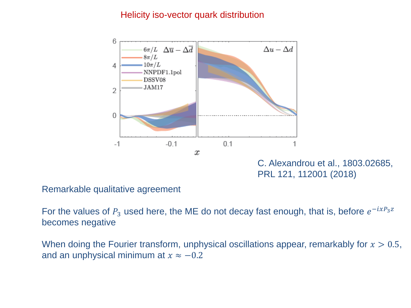#### Helicity iso-vector quark distribution



C. Alexandrou et al., 1803.02685, PRL 121, 112001 (2018)

Remarkable qualitative agreement

For the values of  $P_3$  used here, the ME do not decay fast enough, that is, before  $e^{-ixP_3z}$ becomes negative

When doing the Fourier transform, unphysical oscillations appear, remarkably for  $x > 0.5$ , and an unphysical minimum at  $x \approx -0.2$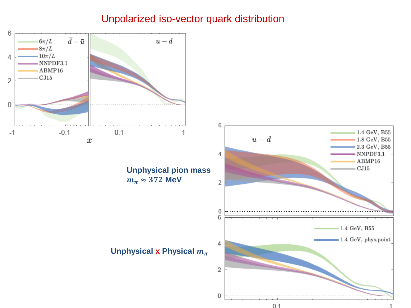### Unpolarized iso-vector quark distribution

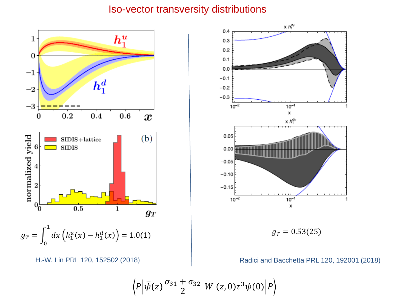#### Iso-vector transversity distributions





$$
\left\langle P\Big|\bar{\psi}(z)\frac{\sigma_{31}+\sigma_{32}}{2}\;W\left(z,0\right)\tau^3\psi(0)\Big|P\right\rangle
$$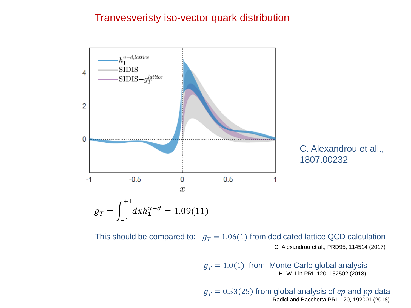#### Tranvesveristy iso-vector quark distribution



C. Alexandrou et all., 1807.00232

This should be compared to:  $g_T = 1.06(1)$  from dedicated lattice QCD calculation C. Alexandrou et al., PRD95, 114514 (2017)

> $g_T = 1.0(1)$  from Monte Carlo global analysis H.-W. Lin PRL 120, 152502 (2018)

 $g_T = 0.53(25)$  from global analysis of  $ep$  and  $pp$  data Radici and Bacchetta PRL 120, 192001 (2018)